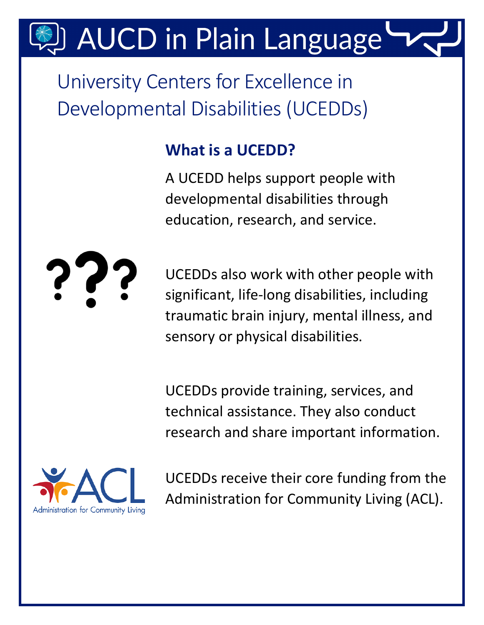# **AUCD in Plain Language**

University Centers for Excellence in Developmental Disabilities (UCEDDs)

### **What is a UCEDD?**

A UCEDD helps support people with developmental disabilities through education, research, and service.



UCEDDs also work with other people with significant, life-long disabilities, including traumatic brain injury, mental illness, and sensory or physical disabilities.

UCEDDs provide training, services, and technical assistance. They also conduct research and share important information.



UCEDDs receive their core funding from the Administration for Community Living (ACL).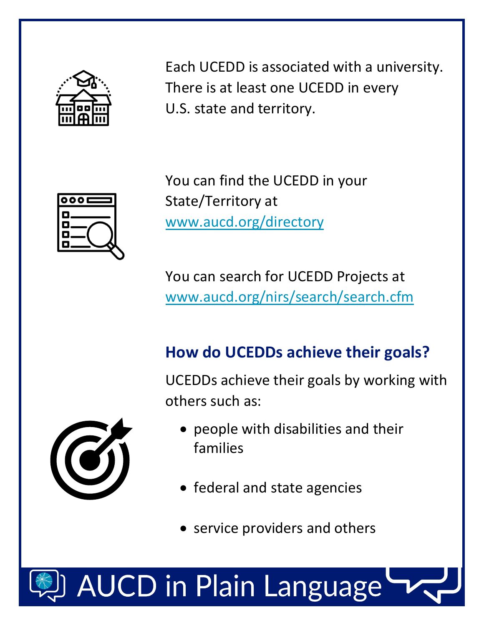

Each UCEDD is associated with a university. There is at least one UCEDD in every U.S. state and territory.



You can find the UCEDD in your State/Territory at [www.aucd.org/directory](http://www.aucd.org/directory)

You can search for UCEDD Projects at [www.aucd.org/nirs/search/search.cfm](https://www.aucd.org/nirs/search/search.cfm)

#### **How do UCEDDs achieve their goals?**

UCEDDs achieve their goals by working with others such as:



- people with disabilities and their families
- federal and state agencies
- service providers and others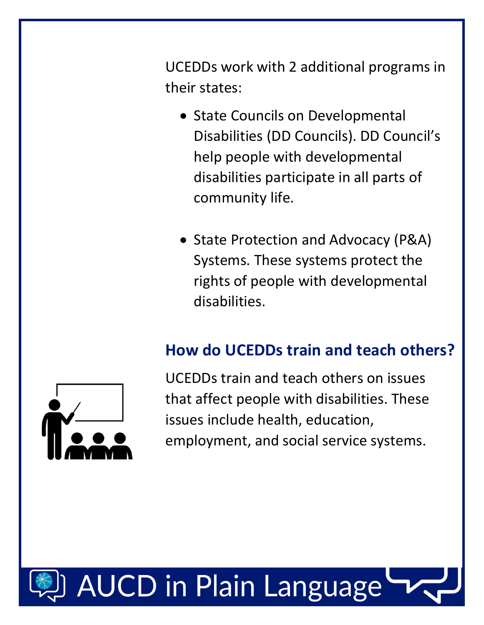UCEDDs work with 2 additional programs in their states:

- State Councils on Developmental Disabilities (DD Councils). DD Council's help people with developmental disabilities participate in all parts of community life.
- State Protection and Advocacy (P&A) Systems. These systems protect the rights of people with developmental disabilities.

#### **How do UCEDDs train and teach others?**



UCEDDs train and teach others on issues that affect people with disabilities. These issues include health, education, employment, and social service systems.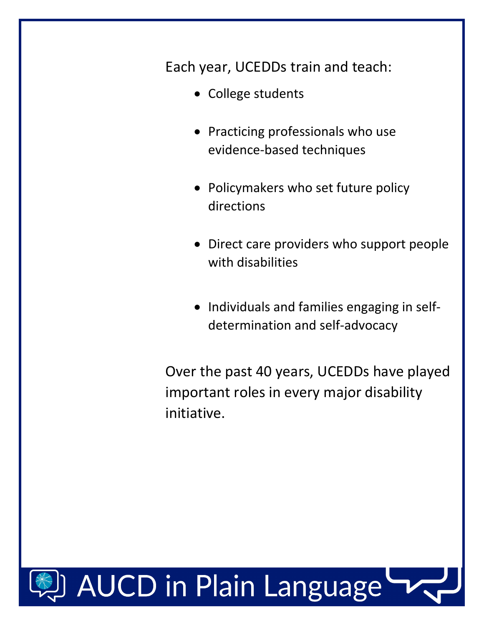Each year, UCEDDs train and teach:

- College students
- Practicing professionals who use evidence-based techniques
- Policymakers who set future policy directions
- Direct care providers who support people with disabilities
- Individuals and families engaging in selfdetermination and self-advocacy

Over the past 40 years, UCEDDs have played important roles in every major disability initiative.

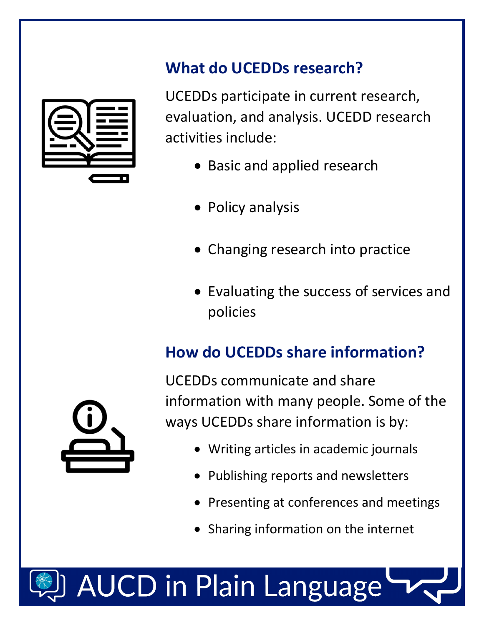

#### **What do UCEDDs research?**

UCEDDs participate in current research, evaluation, and analysis. UCEDD research activities include:

- Basic and applied research
- Policy analysis
- Changing research into practice
- Evaluating the success of services and policies

#### **How do UCEDDs share information?**



UCEDDs communicate and share information with many people. Some of the ways UCEDDs share information is by:

- Writing articles in academic journals
- Publishing reports and newsletters
- Presenting at conferences and meetings
- Sharing information on the internet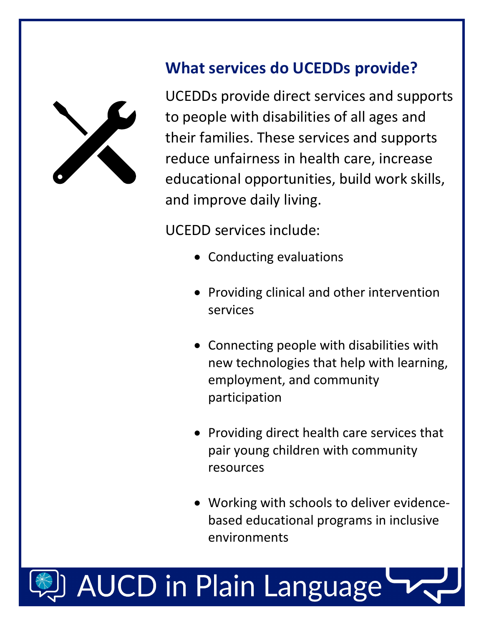

#### **What services do UCEDDs provide?**

UCEDDs provide direct services and supports to people with disabilities of all ages and their families. These services and supports reduce unfairness in health care, increase educational opportunities, build work skills, and improve daily living.

UCEDD services include:

- Conducting evaluations
- Providing clinical and other intervention services
- Connecting people with disabilities with new technologies that help with learning, employment, and community participation
- Providing direct health care services that pair young children with community resources
- Working with schools to deliver evidencebased educational programs in inclusive environments